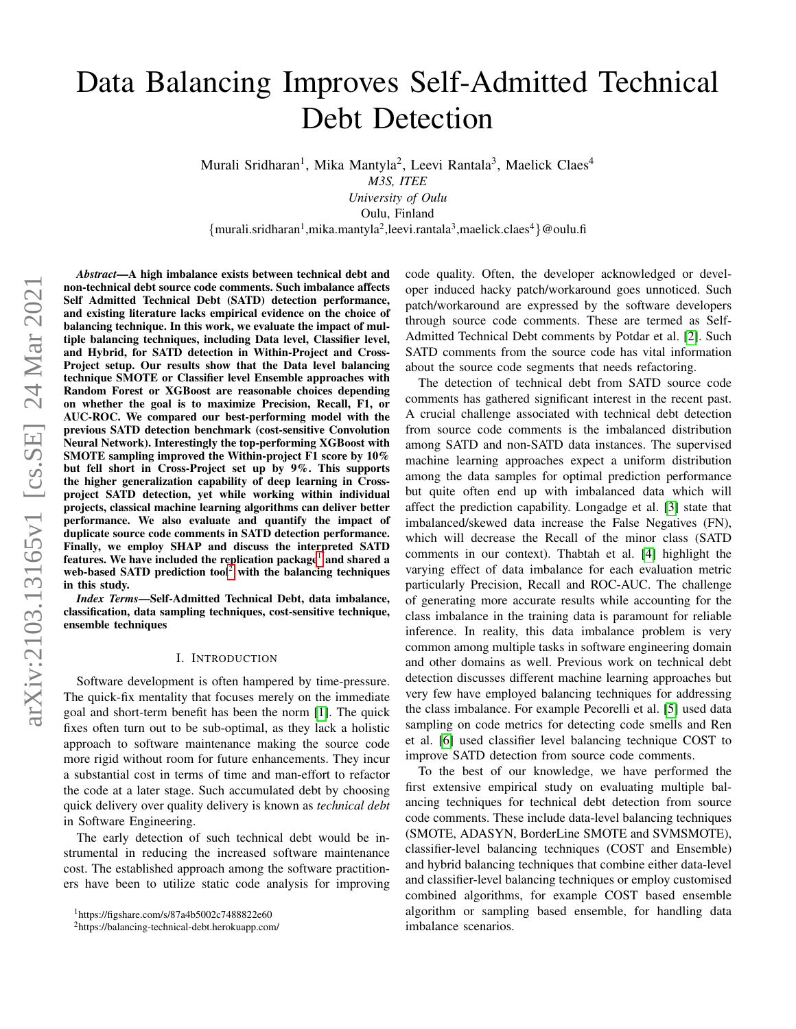# Data Balancing Improves Self-Admitted Technical Debt Detection

Murali Sridharan<sup>1</sup>, Mika Mantyla<sup>2</sup>, Leevi Rantala<sup>3</sup>, Maelick Claes<sup>4</sup>

*M3S, ITEE*

*University of Oulu* Oulu, Finland

 ${murali.sridharan<sup>1</sup>,mika.mantyla<sup>2</sup>,leevi.rantala<sup>3</sup>,maelick.class<sup>4</sup>}@oulu.fi$ 

*Abstract*—A high imbalance exists between technical debt and non-technical debt source code comments. Such imbalance affects Self Admitted Technical Debt (SATD) detection performance, and existing literature lacks empirical evidence on the choice of balancing technique. In this work, we evaluate the impact of multiple balancing techniques, including Data level, Classifier level, and Hybrid, for SATD detection in Within-Project and Cross-Project setup. Our results show that the Data level balancing technique SMOTE or Classifier level Ensemble approaches with Random Forest or XGBoost are reasonable choices depending on whether the goal is to maximize Precision, Recall, F1, or AUC-ROC. We compared our best-performing model with the previous SATD detection benchmark (cost-sensitive Convolution Neural Network). Interestingly the top-performing XGBoost with SMOTE sampling improved the Within-project F1 score by 10% but fell short in Cross-Project set up by 9%. This supports the higher generalization capability of deep learning in Crossproject SATD detection, yet while working within individual projects, classical machine learning algorithms can deliver better performance. We also evaluate and quantify the impact of duplicate source code comments in SATD detection performance. Finally, we employ SHAP and discuss the interpreted SATD features. We have included the replication package<sup>[1](#page-0-0)</sup> and shared a web-based SATD prediction tool<sup>[2](#page-0-1)</sup> with the balancing techniques in this study.

*Index Terms*—Self-Admitted Technical Debt, data imbalance, classification, data sampling techniques, cost-sensitive technique, ensemble techniques

#### I. INTRODUCTION

Software development is often hampered by time-pressure. The quick-fix mentality that focuses merely on the immediate goal and short-term benefit has been the norm [\[1\]](#page-9-0). The quick fixes often turn out to be sub-optimal, as they lack a holistic approach to software maintenance making the source code more rigid without room for future enhancements. They incur a substantial cost in terms of time and man-effort to refactor the code at a later stage. Such accumulated debt by choosing quick delivery over quality delivery is known as *technical debt* in Software Engineering.

The early detection of such technical debt would be instrumental in reducing the increased software maintenance cost. The established approach among the software practitioners have been to utilize static code analysis for improving code quality. Often, the developer acknowledged or developer induced hacky patch/workaround goes unnoticed. Such patch/workaround are expressed by the software developers through source code comments. These are termed as Self-Admitted Technical Debt comments by Potdar et al. [\[2\]](#page-9-1). Such SATD comments from the source code has vital information about the source code segments that needs refactoring.

The detection of technical debt from SATD source code comments has gathered significant interest in the recent past. A crucial challenge associated with technical debt detection from source code comments is the imbalanced distribution among SATD and non-SATD data instances. The supervised machine learning approaches expect a uniform distribution among the data samples for optimal prediction performance but quite often end up with imbalanced data which will affect the prediction capability. Longadge et al. [\[3\]](#page-9-2) state that imbalanced/skewed data increase the False Negatives (FN), which will decrease the Recall of the minor class (SATD comments in our context). Thabtah et al. [\[4\]](#page-9-3) highlight the varying effect of data imbalance for each evaluation metric particularly Precision, Recall and ROC-AUC. The challenge of generating more accurate results while accounting for the class imbalance in the training data is paramount for reliable inference. In reality, this data imbalance problem is very common among multiple tasks in software engineering domain and other domains as well. Previous work on technical debt detection discusses different machine learning approaches but very few have employed balancing techniques for addressing the class imbalance. For example Pecorelli et al. [\[5\]](#page-10-0) used data sampling on code metrics for detecting code smells and Ren et al. [\[6\]](#page-10-1) used classifier level balancing technique COST to improve SATD detection from source code comments.

To the best of our knowledge, we have performed the first extensive empirical study on evaluating multiple balancing techniques for technical debt detection from source code comments. These include data-level balancing techniques (SMOTE, ADASYN, BorderLine SMOTE and SVMSMOTE), classifier-level balancing techniques (COST and Ensemble) and hybrid balancing techniques that combine either data-level and classifier-level balancing techniques or employ customised combined algorithms, for example COST based ensemble algorithm or sampling based ensemble, for handling data imbalance scenarios.

<span id="page-0-0"></span><sup>1</sup>https://figshare.com/s/87a4b5002c7488822e60

<span id="page-0-1"></span><sup>2</sup>https://balancing-technical-debt.herokuapp.com/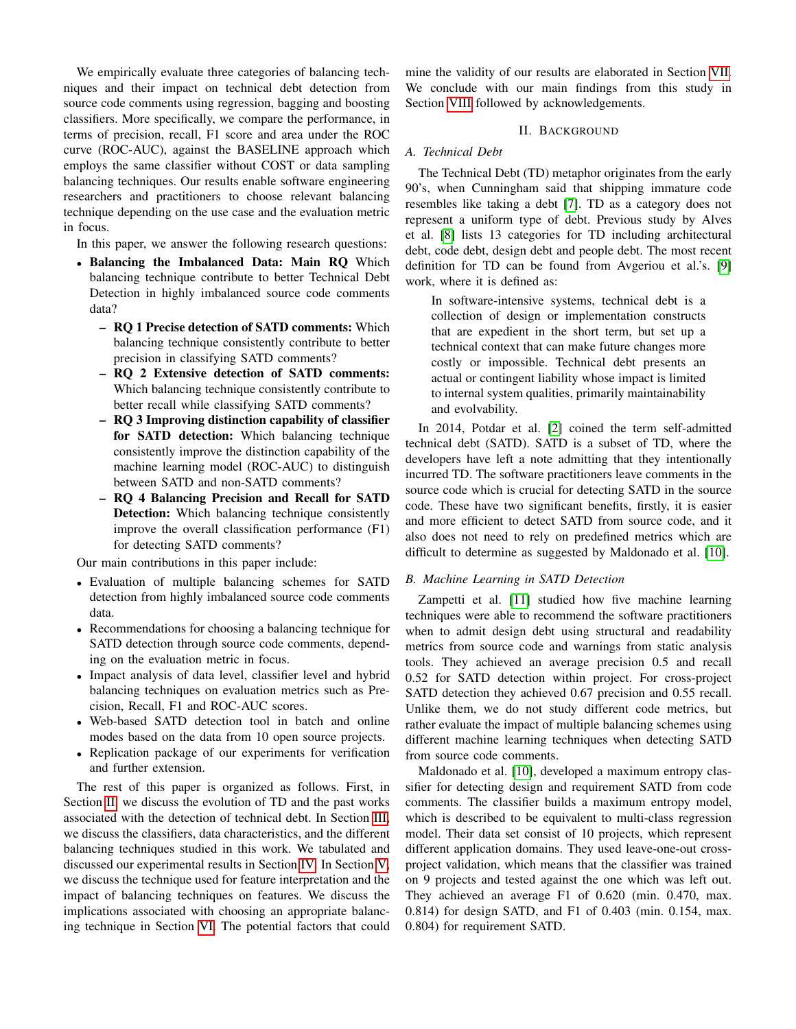We empirically evaluate three categories of balancing techniques and their impact on technical debt detection from source code comments using regression, bagging and boosting classifiers. More specifically, we compare the performance, in terms of precision, recall, F1 score and area under the ROC curve (ROC-AUC), against the BASELINE approach which employs the same classifier without COST or data sampling balancing techniques. Our results enable software engineering researchers and practitioners to choose relevant balancing technique depending on the use case and the evaluation metric in focus.

In this paper, we answer the following research questions:

- Balancing the Imbalanced Data: Main RQ Which balancing technique contribute to better Technical Debt Detection in highly imbalanced source code comments data?
	- RQ 1 Precise detection of SATD comments: Which balancing technique consistently contribute to better precision in classifying SATD comments?
	- RQ 2 Extensive detection of SATD comments: Which balancing technique consistently contribute to better recall while classifying SATD comments?
	- RQ 3 Improving distinction capability of classifier for SATD detection: Which balancing technique consistently improve the distinction capability of the machine learning model (ROC-AUC) to distinguish between SATD and non-SATD comments?
	- RQ 4 Balancing Precision and Recall for SATD Detection: Which balancing technique consistently improve the overall classification performance (F1) for detecting SATD comments?

Our main contributions in this paper include:

- Evaluation of multiple balancing schemes for SATD detection from highly imbalanced source code comments data.
- Recommendations for choosing a balancing technique for SATD detection through source code comments, depending on the evaluation metric in focus.
- Impact analysis of data level, classifier level and hybrid balancing techniques on evaluation metrics such as Precision, Recall, F1 and ROC-AUC scores.
- Web-based SATD detection tool in batch and online modes based on the data from 10 open source projects.
- Replication package of our experiments for verification and further extension.

The rest of this paper is organized as follows. First, in Section [II,](#page-1-0) we discuss the evolution of TD and the past works associated with the detection of technical debt. In Section [III,](#page-2-0) we discuss the classifiers, data characteristics, and the different balancing techniques studied in this work. We tabulated and discussed our experimental results in Section [IV.](#page-4-0) In Section [V,](#page-7-0) we discuss the technique used for feature interpretation and the impact of balancing techniques on features. We discuss the implications associated with choosing an appropriate balancing technique in Section [VI.](#page-8-0) The potential factors that could

mine the validity of our results are elaborated in Section [VII.](#page-9-4) We conclude with our main findings from this study in Section [VIII](#page-9-5) followed by acknowledgements.

## II. BACKGROUND

# <span id="page-1-0"></span>*A. Technical Debt*

The Technical Debt (TD) metaphor originates from the early 90's, when Cunningham said that shipping immature code resembles like taking a debt [\[7\]](#page-10-2). TD as a category does not represent a uniform type of debt. Previous study by Alves et al. [\[8\]](#page-10-3) lists 13 categories for TD including architectural debt, code debt, design debt and people debt. The most recent definition for TD can be found from Avgeriou et al.'s. [\[9\]](#page-10-4) work, where it is defined as:

In software-intensive systems, technical debt is a collection of design or implementation constructs that are expedient in the short term, but set up a technical context that can make future changes more costly or impossible. Technical debt presents an actual or contingent liability whose impact is limited to internal system qualities, primarily maintainability and evolvability.

In 2014, Potdar et al. [\[2\]](#page-9-1) coined the term self-admitted technical debt (SATD). SATD is a subset of TD, where the developers have left a note admitting that they intentionally incurred TD. The software practitioners leave comments in the source code which is crucial for detecting SATD in the source code. These have two significant benefits, firstly, it is easier and more efficient to detect SATD from source code, and it also does not need to rely on predefined metrics which are difficult to determine as suggested by Maldonado et al. [\[10\]](#page-10-5).

# *B. Machine Learning in SATD Detection*

Zampetti et al. [\[11\]](#page-10-6) studied how five machine learning techniques were able to recommend the software practitioners when to admit design debt using structural and readability metrics from source code and warnings from static analysis tools. They achieved an average precision 0.5 and recall 0.52 for SATD detection within project. For cross-project SATD detection they achieved 0.67 precision and 0.55 recall. Unlike them, we do not study different code metrics, but rather evaluate the impact of multiple balancing schemes using different machine learning techniques when detecting SATD from source code comments.

Maldonado et al. [\[10\]](#page-10-5), developed a maximum entropy classifier for detecting design and requirement SATD from code comments. The classifier builds a maximum entropy model, which is described to be equivalent to multi-class regression model. Their data set consist of 10 projects, which represent different application domains. They used leave-one-out crossproject validation, which means that the classifier was trained on 9 projects and tested against the one which was left out. They achieved an average F1 of 0.620 (min. 0.470, max. 0.814) for design SATD, and F1 of 0.403 (min. 0.154, max. 0.804) for requirement SATD.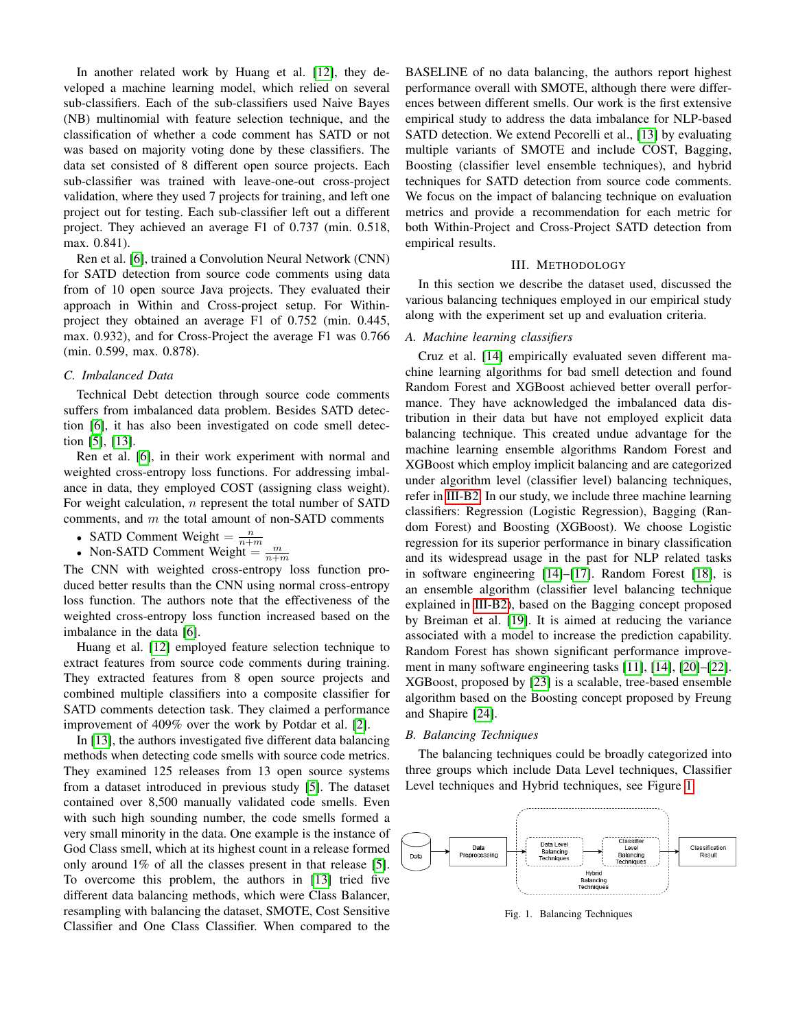In another related work by Huang et al. [\[12\]](#page-10-7), they developed a machine learning model, which relied on several sub-classifiers. Each of the sub-classifiers used Naive Bayes (NB) multinomial with feature selection technique, and the classification of whether a code comment has SATD or not was based on majority voting done by these classifiers. The data set consisted of 8 different open source projects. Each sub-classifier was trained with leave-one-out cross-project validation, where they used 7 projects for training, and left one project out for testing. Each sub-classifier left out a different project. They achieved an average F1 of 0.737 (min. 0.518, max. 0.841).

Ren et al. [\[6\]](#page-10-1), trained a Convolution Neural Network (CNN) for SATD detection from source code comments using data from of 10 open source Java projects. They evaluated their approach in Within and Cross-project setup. For Withinproject they obtained an average F1 of 0.752 (min. 0.445, max. 0.932), and for Cross-Project the average F1 was 0.766 (min. 0.599, max. 0.878).

## *C. Imbalanced Data*

Technical Debt detection through source code comments suffers from imbalanced data problem. Besides SATD detection [\[6\]](#page-10-1), it has also been investigated on code smell detection [\[5\]](#page-10-0), [\[13\]](#page-10-8).

Ren et al. [\[6\]](#page-10-1), in their work experiment with normal and weighted cross-entropy loss functions. For addressing imbalance in data, they employed COST (assigning class weight). For weight calculation, *n* represent the total number of SATD comments, and  $m$  the total amount of non-SATD comments

- SATD Comment Weight  $=\frac{n}{n+m}$
- Non-SATD Comment Weight  $=$   $\frac{m}{n+m}$

The CNN with weighted cross-entropy loss function produced better results than the CNN using normal cross-entropy loss function. The authors note that the effectiveness of the weighted cross-entropy loss function increased based on the imbalance in the data [\[6\]](#page-10-1).

Huang et al. [\[12\]](#page-10-7) employed feature selection technique to extract features from source code comments during training. They extracted features from 8 open source projects and combined multiple classifiers into a composite classifier for SATD comments detection task. They claimed a performance improvement of 409% over the work by Potdar et al. [\[2\]](#page-9-1).

In [\[13\]](#page-10-8), the authors investigated five different data balancing methods when detecting code smells with source code metrics. They examined 125 releases from 13 open source systems from a dataset introduced in previous study [\[5\]](#page-10-0). The dataset contained over 8,500 manually validated code smells. Even with such high sounding number, the code smells formed a very small minority in the data. One example is the instance of God Class smell, which at its highest count in a release formed only around 1% of all the classes present in that release [\[5\]](#page-10-0). To overcome this problem, the authors in [\[13\]](#page-10-8) tried five different data balancing methods, which were Class Balancer, resampling with balancing the dataset, SMOTE, Cost Sensitive Classifier and One Class Classifier. When compared to the BASELINE of no data balancing, the authors report highest performance overall with SMOTE, although there were differences between different smells. Our work is the first extensive empirical study to address the data imbalance for NLP-based SATD detection. We extend Pecorelli et al., [\[13\]](#page-10-8) by evaluating multiple variants of SMOTE and include COST, Bagging, Boosting (classifier level ensemble techniques), and hybrid techniques for SATD detection from source code comments. We focus on the impact of balancing technique on evaluation metrics and provide a recommendation for each metric for both Within-Project and Cross-Project SATD detection from empirical results.

## III. METHODOLOGY

<span id="page-2-0"></span>In this section we describe the dataset used, discussed the various balancing techniques employed in our empirical study along with the experiment set up and evaluation criteria.

## *A. Machine learning classifiers*

Cruz et al. [\[14\]](#page-10-9) empirically evaluated seven different machine learning algorithms for bad smell detection and found Random Forest and XGBoost achieved better overall performance. They have acknowledged the imbalanced data distribution in their data but have not employed explicit data balancing technique. This created undue advantage for the machine learning ensemble algorithms Random Forest and XGBoost which employ implicit balancing and are categorized under algorithm level (classifier level) balancing techniques, refer in [III-B2.](#page-3-0) In our study, we include three machine learning classifiers: Regression (Logistic Regression), Bagging (Random Forest) and Boosting (XGBoost). We choose Logistic regression for its superior performance in binary classification and its widespread usage in the past for NLP related tasks in software engineering [\[14\]](#page-10-9)–[\[17\]](#page-10-10). Random Forest [\[18\]](#page-10-11), is an ensemble algorithm (classifier level balancing technique explained in [III-B2\)](#page-3-0), based on the Bagging concept proposed by Breiman et al. [\[19\]](#page-10-12). It is aimed at reducing the variance associated with a model to increase the prediction capability. Random Forest has shown significant performance improvement in many software engineering tasks [\[11\]](#page-10-6), [\[14\]](#page-10-9), [\[20\]](#page-10-13)–[\[22\]](#page-10-14). XGBoost, proposed by [\[23\]](#page-10-15) is a scalable, tree-based ensemble algorithm based on the Boosting concept proposed by Freung and Shapire [\[24\]](#page-10-16).

#### *B. Balancing Techniques*

The balancing techniques could be broadly categorized into three groups which include Data Level techniques, Classifier Level techniques and Hybrid techniques, see Figure [1.](#page-2-1)



<span id="page-2-1"></span>Fig. 1. Balancing Techniques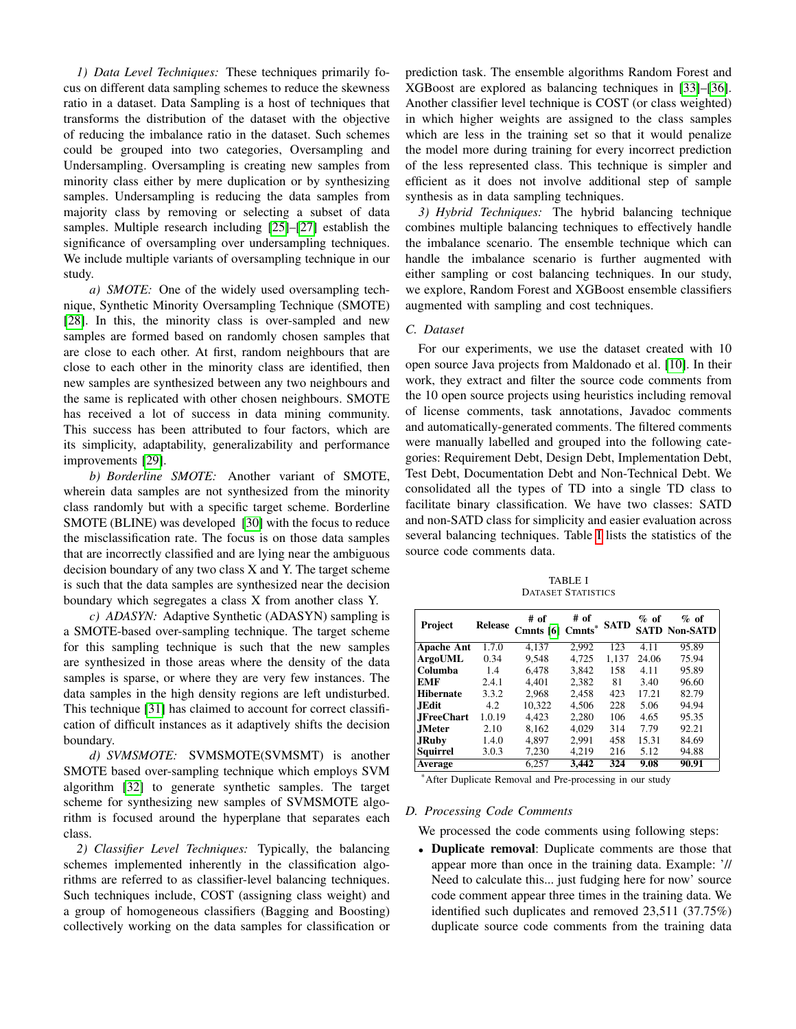*1) Data Level Techniques:* These techniques primarily focus on different data sampling schemes to reduce the skewness ratio in a dataset. Data Sampling is a host of techniques that transforms the distribution of the dataset with the objective of reducing the imbalance ratio in the dataset. Such schemes could be grouped into two categories, Oversampling and Undersampling. Oversampling is creating new samples from minority class either by mere duplication or by synthesizing samples. Undersampling is reducing the data samples from majority class by removing or selecting a subset of data samples. Multiple research including [\[25\]](#page-10-17)–[\[27\]](#page-10-18) establish the significance of oversampling over undersampling techniques. We include multiple variants of oversampling technique in our study.

*a) SMOTE:* One of the widely used oversampling technique, Synthetic Minority Oversampling Technique (SMOTE) [\[28\]](#page-10-19). In this, the minority class is over-sampled and new samples are formed based on randomly chosen samples that are close to each other. At first, random neighbours that are close to each other in the minority class are identified, then new samples are synthesized between any two neighbours and the same is replicated with other chosen neighbours. SMOTE has received a lot of success in data mining community. This success has been attributed to four factors, which are its simplicity, adaptability, generalizability and performance improvements [\[29\]](#page-10-20).

*b) Borderline SMOTE:* Another variant of SMOTE, wherein data samples are not synthesized from the minority class randomly but with a specific target scheme. Borderline SMOTE (BLINE) was developed [\[30\]](#page-10-21) with the focus to reduce the misclassification rate. The focus is on those data samples that are incorrectly classified and are lying near the ambiguous decision boundary of any two class X and Y. The target scheme is such that the data samples are synthesized near the decision boundary which segregates a class X from another class Y.

*c) ADASYN:* Adaptive Synthetic (ADASYN) sampling is a SMOTE-based over-sampling technique. The target scheme for this sampling technique is such that the new samples are synthesized in those areas where the density of the data samples is sparse, or where they are very few instances. The data samples in the high density regions are left undisturbed. This technique [\[31\]](#page-10-22) has claimed to account for correct classification of difficult instances as it adaptively shifts the decision boundary.

*d) SVMSMOTE:* SVMSMOTE(SVMSMT) is another SMOTE based over-sampling technique which employs SVM algorithm [\[32\]](#page-10-23) to generate synthetic samples. The target scheme for synthesizing new samples of SVMSMOTE algorithm is focused around the hyperplane that separates each class.

<span id="page-3-0"></span>*2) Classifier Level Techniques:* Typically, the balancing schemes implemented inherently in the classification algorithms are referred to as classifier-level balancing techniques. Such techniques include, COST (assigning class weight) and a group of homogeneous classifiers (Bagging and Boosting) collectively working on the data samples for classification or prediction task. The ensemble algorithms Random Forest and XGBoost are explored as balancing techniques in [\[33\]](#page-10-24)–[\[36\]](#page-10-25). Another classifier level technique is COST (or class weighted) in which higher weights are assigned to the class samples which are less in the training set so that it would penalize the model more during training for every incorrect prediction of the less represented class. This technique is simpler and efficient as it does not involve additional step of sample synthesis as in data sampling techniques.

*3) Hybrid Techniques:* The hybrid balancing technique combines multiple balancing techniques to effectively handle the imbalance scenario. The ensemble technique which can handle the imbalance scenario is further augmented with either sampling or cost balancing techniques. In our study, we explore, Random Forest and XGBoost ensemble classifiers augmented with sampling and cost techniques.

# *C. Dataset*

For our experiments, we use the dataset created with 10 open source Java projects from Maldonado et al. [\[10\]](#page-10-5). In their work, they extract and filter the source code comments from the 10 open source projects using heuristics including removal of license comments, task annotations, Javadoc comments and automatically-generated comments. The filtered comments were manually labelled and grouped into the following categories: Requirement Debt, Design Debt, Implementation Debt, Test Debt, Documentation Debt and Non-Technical Debt. We consolidated all the types of TD into a single TD class to facilitate binary classification. We have two classes: SATD and non-SATD class for simplicity and easier evaluation across several balancing techniques. Table [I](#page-3-1) lists the statistics of the source code comments data.

TABLE I DATASET STATISTICS

<span id="page-3-1"></span>

| Project           | <b>Release</b> | # of<br>Cmnts [6] Cmnts* | # of  | <b>SATD</b> | $\%$ of | $%$ of<br><b>SATD Non-SATD</b> |
|-------------------|----------------|--------------------------|-------|-------------|---------|--------------------------------|
| <b>Apache Ant</b> | 1.7.0          | 4,137                    | 2.992 | 123         | 4.11    | 95.89                          |
| <b>ArgoUML</b>    | 0.34           | 9,548                    | 4,725 | 1,137       | 24.06   | 75.94                          |
| Columba           | 1.4            | 6,478                    | 3.842 | 158         | 4.11    | 95.89                          |
| <b>EMF</b>        | 2.4.1          | 4.401                    | 2.382 | 81          | 3.40    | 96.60                          |
| <b>Hibernate</b>  | 3.3.2          | 2,968                    | 2,458 | 423         | 17.21   | 82.79                          |
| <b>JEdit</b>      | 4.2            | 10.322                   | 4.506 | 228         | 5.06    | 94.94                          |
| <b>JFreeChart</b> | 1.0.19         | 4.423                    | 2,280 | 106         | 4.65    | 95.35                          |
| <b>JMeter</b>     | 2.10           | 8,162                    | 4,029 | 314         | 7.79    | 92.21                          |
| <b>JRuby</b>      | 1.4.0          | 4.897                    | 2,991 | 458         | 15.31   | 84.69                          |
| Squirrel          | 3.0.3          | 7,230                    | 4,219 | 216         | 5.12    | 94.88                          |
| Average           |                | 6.257                    | 3.442 | 324         | 9.08    | $90.\overline{91}$             |

\*After Duplicate Removal and Pre-processing in our study

# <span id="page-3-2"></span>*D. Processing Code Comments*

We processed the code comments using following steps:

• Duplicate removal: Duplicate comments are those that appear more than once in the training data. Example: '// Need to calculate this... just fudging here for now' source code comment appear three times in the training data. We identified such duplicates and removed 23,511 (37.75%) duplicate source code comments from the training data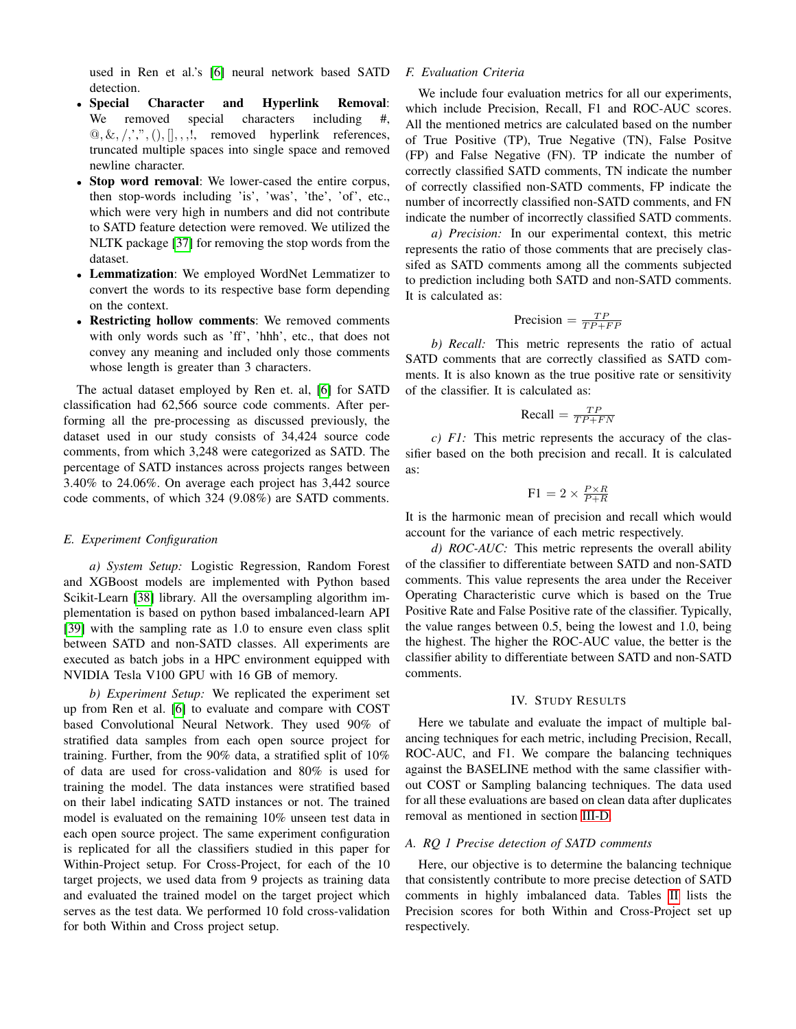used in Ren et al.'s [\[6\]](#page-10-1) neural network based SATD detection.

- Special Character and Hyperlink Removal: We removed special characters including #,  $[0, \&, \langle, \cdot, \cdot, \cdot, \cdot \rangle, ],$ , removed hyperlink references, truncated multiple spaces into single space and removed newline character.
- Stop word removal: We lower-cased the entire corpus, then stop-words including 'is', 'was', 'the', 'of', etc., which were very high in numbers and did not contribute to SATD feature detection were removed. We utilized the NLTK package [\[37\]](#page-10-26) for removing the stop words from the dataset.
- Lemmatization: We employed WordNet Lemmatizer to convert the words to its respective base form depending on the context.
- Restricting hollow comments: We removed comments with only words such as 'ff', 'hhh', etc., that does not convey any meaning and included only those comments whose length is greater than 3 characters.

The actual dataset employed by Ren et. al, [\[6\]](#page-10-1) for SATD classification had 62,566 source code comments. After performing all the pre-processing as discussed previously, the dataset used in our study consists of 34,424 source code comments, from which 3,248 were categorized as SATD. The percentage of SATD instances across projects ranges between 3.40% to 24.06%. On average each project has 3,442 source code comments, of which 324 (9.08%) are SATD comments.

## *E. Experiment Configuration*

*a) System Setup:* Logistic Regression, Random Forest and XGBoost models are implemented with Python based Scikit-Learn [\[38\]](#page-10-27) library. All the oversampling algorithm implementation is based on python based imbalanced-learn API [\[39\]](#page-10-28) with the sampling rate as 1.0 to ensure even class split between SATD and non-SATD classes. All experiments are executed as batch jobs in a HPC environment equipped with NVIDIA Tesla V100 GPU with 16 GB of memory.

*b) Experiment Setup:* We replicated the experiment set up from Ren et al. [\[6\]](#page-10-1) to evaluate and compare with COST based Convolutional Neural Network. They used 90% of stratified data samples from each open source project for training. Further, from the 90% data, a stratified split of 10% of data are used for cross-validation and 80% is used for training the model. The data instances were stratified based on their label indicating SATD instances or not. The trained model is evaluated on the remaining 10% unseen test data in each open source project. The same experiment configuration is replicated for all the classifiers studied in this paper for Within-Project setup. For Cross-Project, for each of the 10 target projects, we used data from 9 projects as training data and evaluated the trained model on the target project which serves as the test data. We performed 10 fold cross-validation for both Within and Cross project setup.

# *F. Evaluation Criteria*

We include four evaluation metrics for all our experiments, which include Precision, Recall, F1 and ROC-AUC scores. All the mentioned metrics are calculated based on the number of True Positive (TP), True Negative (TN), False Positve (FP) and False Negative (FN). TP indicate the number of correctly classified SATD comments, TN indicate the number of correctly classified non-SATD comments, FP indicate the number of incorrectly classified non-SATD comments, and FN indicate the number of incorrectly classified SATD comments.

*a) Precision:* In our experimental context, this metric represents the ratio of those comments that are precisely classifed as SATD comments among all the comments subjected to prediction including both SATD and non-SATD comments. It is calculated as:

$$
Precision = \frac{TP}{TP + FP}
$$

*b) Recall:* This metric represents the ratio of actual SATD comments that are correctly classified as SATD comments. It is also known as the true positive rate or sensitivity of the classifier. It is calculated as:

$$
Recall = \frac{TP}{TP + FN}
$$

*c) F1:* This metric represents the accuracy of the classifier based on the both precision and recall. It is calculated as:

$$
F1 = 2 \times \frac{P \times R}{P + R}
$$

It is the harmonic mean of precision and recall which would account for the variance of each metric respectively.

*d) ROC-AUC:* This metric represents the overall ability of the classifier to differentiate between SATD and non-SATD comments. This value represents the area under the Receiver Operating Characteristic curve which is based on the True Positive Rate and False Positive rate of the classifier. Typically, the value ranges between 0.5, being the lowest and 1.0, being the highest. The higher the ROC-AUC value, the better is the classifier ability to differentiate between SATD and non-SATD comments.

# IV. STUDY RESULTS

<span id="page-4-0"></span>Here we tabulate and evaluate the impact of multiple balancing techniques for each metric, including Precision, Recall, ROC-AUC, and F1. We compare the balancing techniques against the BASELINE method with the same classifier without COST or Sampling balancing techniques. The data used for all these evaluations are based on clean data after duplicates removal as mentioned in section [III-D.](#page-3-2)

# *A. RQ 1 Precise detection of SATD comments*

Here, our objective is to determine the balancing technique that consistently contribute to more precise detection of SATD comments in highly imbalanced data. Tables [II](#page-5-0) lists the Precision scores for both Within and Cross-Project set up respectively.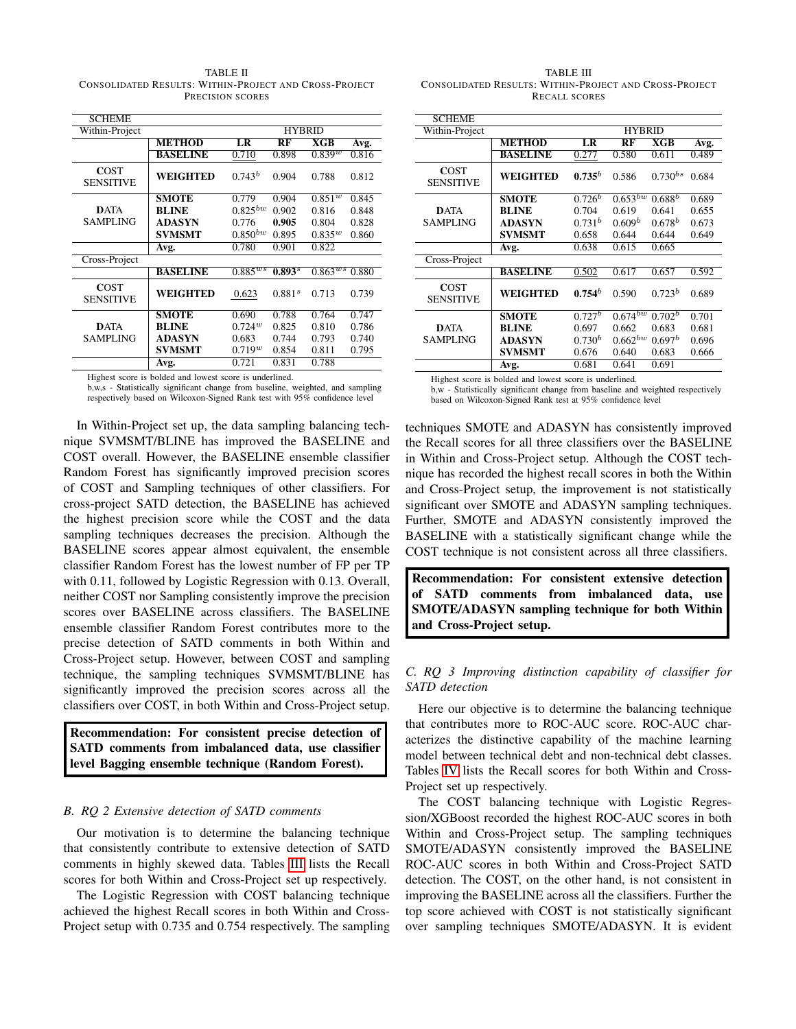<span id="page-5-0"></span>TABLE II CONSOLIDATED RESULTS: WITHIN-PROJECT AND CROSS-PROJECT PRECISION SCORES

| <b>SCHEME</b>                   |                 |               |                    |                       |       |  |
|---------------------------------|-----------------|---------------|--------------------|-----------------------|-------|--|
| Within-Project                  |                 | <b>HYBRID</b> |                    |                       |       |  |
|                                 | <b>METHOD</b>   | LR            | RF                 | <b>XGB</b>            | Avg.  |  |
|                                 | <b>BASELINE</b> | 0.710         | 0.898              | $0.839^{w}$           | 0.816 |  |
| <b>COST</b><br><b>SENSITIVE</b> | <b>WEIGHTED</b> | $0.743^b$     | 0.904              | 0.788                 | 0.812 |  |
|                                 | <b>SMOTE</b>    | 0.779         | 0.904              | $0.851^{w}$           | 0.845 |  |
| <b>DATA</b>                     | <b>BLINE</b>    | $0.825^{bw}$  | 0.902              | 0.816                 | 0.848 |  |
| <b>SAMPLING</b>                 | <b>ADASYN</b>   | 0.776         | 0.905              | 0.804                 | 0.828 |  |
|                                 | <b>SVMSMT</b>   | $0.850^{bw}$  | 0.895              | $0.835^{w}$           | 0.860 |  |
|                                 | Avg.            | 0.780         | 0.901              | 0.822                 |       |  |
| Cross-Project                   |                 |               |                    |                       |       |  |
|                                 | <b>BASELINE</b> | $0.885^{ws}$  | $0.893^{s}$        | $0.863$ <sup>ws</sup> | 0.880 |  |
| <b>COST</b><br><b>SENSITIVE</b> | WEIGHTED        | 0.623         | 0.881 <sup>s</sup> | 0.713                 | 0.739 |  |
|                                 | <b>SMOTE</b>    | 0.690         | 0.788              | 0.764                 | 0.747 |  |
| <b>DATA</b>                     | <b>BLINE</b>    | $0.724^{w}$   | 0.825              | 0.810                 | 0.786 |  |
| <b>SAMPLING</b>                 | <b>ADASYN</b>   | 0.683         | 0.744              | 0.793                 | 0.740 |  |
|                                 | <b>SVMSMT</b>   | $0.719^{w}$   | 0.854              | 0.811                 | 0.795 |  |
|                                 | Avg.            | 0.721         | 0.831              | 0.788                 |       |  |

Highest score is bolded and lowest score is underlined.

b,w,s - Statistically significant change from baseline, weighted, and sampling respectively based on Wilcoxon-Signed Rank test with 95% confidence level

In Within-Project set up, the data sampling balancing technique SVMSMT/BLINE has improved the BASELINE and COST overall. However, the BASELINE ensemble classifier Random Forest has significantly improved precision scores of COST and Sampling techniques of other classifiers. For cross-project SATD detection, the BASELINE has achieved the highest precision score while the COST and the data sampling techniques decreases the precision. Although the BASELINE scores appear almost equivalent, the ensemble classifier Random Forest has the lowest number of FP per TP with 0.11, followed by Logistic Regression with 0.13. Overall, neither COST nor Sampling consistently improve the precision scores over BASELINE across classifiers. The BASELINE ensemble classifier Random Forest contributes more to the precise detection of SATD comments in both Within and Cross-Project setup. However, between COST and sampling technique, the sampling techniques SVMSMT/BLINE has significantly improved the precision scores across all the classifiers over COST, in both Within and Cross-Project setup.

Recommendation: For consistent precise detection of SATD comments from imbalanced data, use classifier level Bagging ensemble technique (Random Forest).

#### *B. RQ 2 Extensive detection of SATD comments*

Our motivation is to determine the balancing technique that consistently contribute to extensive detection of SATD comments in highly skewed data. Tables [III](#page-5-1) lists the Recall scores for both Within and Cross-Project set up respectively.

The Logistic Regression with COST balancing technique achieved the highest Recall scores in both Within and Cross-Project setup with 0.735 and 0.754 respectively. The sampling

<span id="page-5-1"></span>TABLE III CONSOLIDATED RESULTS: WITHIN-PROJECT AND CROSS-PROJECT RECALL SCORES

| <b>SCHEME</b>                   |                 |                    |                    |                    |       |  |  |
|---------------------------------|-----------------|--------------------|--------------------|--------------------|-------|--|--|
| Within-Project                  |                 | <b>HYBRID</b>      |                    |                    |       |  |  |
|                                 | <b>METHOD</b>   | LR                 | RF                 | <b>XGB</b>         | Avg.  |  |  |
|                                 | <b>BASELINE</b> | 0.277              | 0.580              | 0.611              | 0.489 |  |  |
| <b>COST</b><br><b>SENSITIVE</b> | WEIGHTED        | $0.735^{b}$        | 0.586              | $0.730^{bs}$       | 0.684 |  |  |
|                                 | <b>SMOTE</b>    | $0.726^b$          | $0.653^{bw}$       | $0.688^b$          | 0.689 |  |  |
| <b>DATA</b>                     | <b>BLINE</b>    | 0.704              | 0.619              | 0.641              | 0.655 |  |  |
| <b>SAMPLING</b>                 | <b>ADASYN</b>   | $0.731^{b}$        | 0.609 <sup>b</sup> | $0.678^{b}$        | 0.673 |  |  |
|                                 | <b>SVMSMT</b>   | 0.658              | 0.644              | 0.644              | 0.649 |  |  |
|                                 | Avg.            | 0.638              | 0.615              | 0.665              |       |  |  |
| Cross-Project                   |                 |                    |                    |                    |       |  |  |
|                                 | <b>BASELINE</b> | 0.502              | 0.617              | 0.657              | 0.592 |  |  |
| <b>COST</b><br><b>SENSITIVE</b> | <b>WEIGHTED</b> | $0.754^b$          | 0.590              | $0.723^b$          | 0.689 |  |  |
|                                 | <b>SMOTE</b>    | $0.727^b$          | $0.674^{bw}$       | $0.702^b$          | 0.701 |  |  |
| <b>DATA</b>                     | <b>BLINE</b>    | 0.697              | 0.662              | 0.683              | 0.681 |  |  |
| <b>SAMPLING</b>                 | <b>ADASYN</b>   | 0.730 <sup>b</sup> | $0.662^{bw}$       | 0.697 <sup>b</sup> | 0.696 |  |  |
|                                 | <b>SVMSMT</b>   | 0.676              | 0.640              | 0.683              | 0.666 |  |  |
|                                 | Avg.            | 0.681              | 0.641              | 0.691              |       |  |  |

Highest score is bolded and lowest score is underlined.

b,w - Statistically significant change from baseline and weighted respectively based on Wilcoxon-Signed Rank test at 95% confidence level

techniques SMOTE and ADASYN has consistently improved the Recall scores for all three classifiers over the BASELINE in Within and Cross-Project setup. Although the COST technique has recorded the highest recall scores in both the Within and Cross-Project setup, the improvement is not statistically significant over SMOTE and ADASYN sampling techniques. Further, SMOTE and ADASYN consistently improved the BASELINE with a statistically significant change while the COST technique is not consistent across all three classifiers.

Recommendation: For consistent extensive detection of SATD comments from imbalanced data, use SMOTE/ADASYN sampling technique for both Within and Cross-Project setup.

# *C. RQ 3 Improving distinction capability of classifier for SATD detection*

Here our objective is to determine the balancing technique that contributes more to ROC-AUC score. ROC-AUC characterizes the distinctive capability of the machine learning model between technical debt and non-technical debt classes. Tables [IV](#page-6-0) lists the Recall scores for both Within and Cross-Project set up respectively.

The COST balancing technique with Logistic Regression/XGBoost recorded the highest ROC-AUC scores in both Within and Cross-Project setup. The sampling techniques SMOTE/ADASYN consistently improved the BASELINE ROC-AUC scores in both Within and Cross-Project SATD detection. The COST, on the other hand, is not consistent in improving the BASELINE across all the classifiers. Further the top score achieved with COST is not statistically significant over sampling techniques SMOTE/ADASYN. It is evident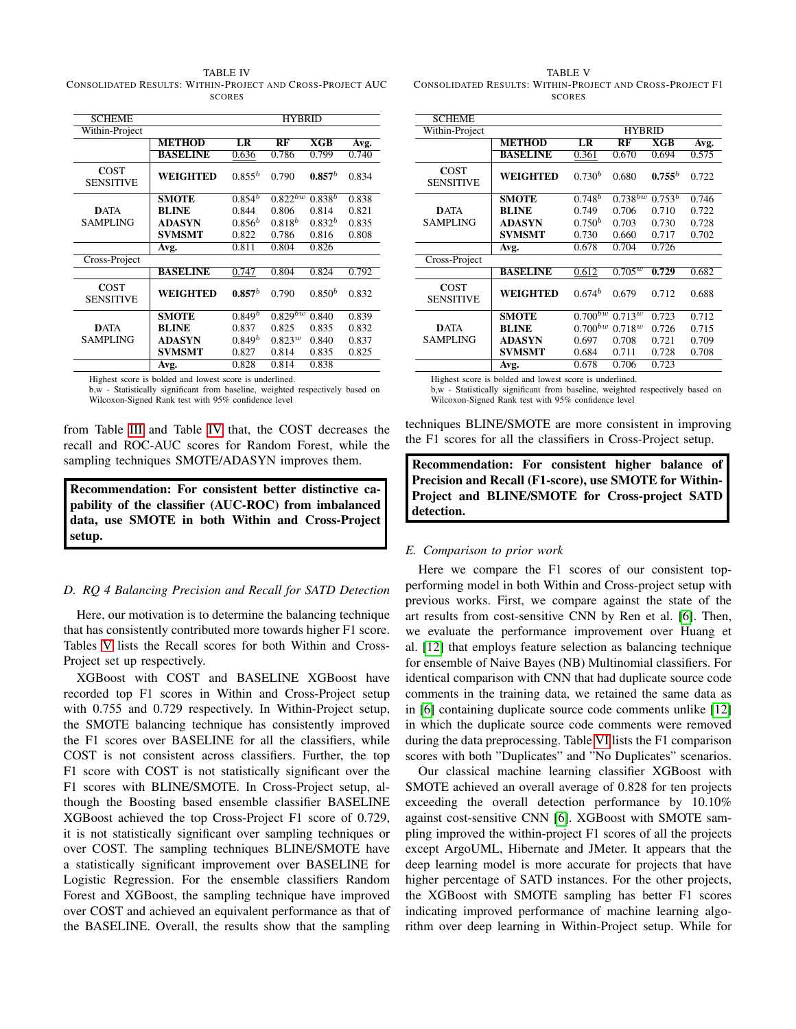<span id="page-6-0"></span>TABLE IV CONSOLIDATED RESULTS: WITHIN-PROJECT AND CROSS-PROJECT AUC **SCORES** 

| <b>SCHEME</b>                   |                 | <b>HYBRID</b> |              |             |       |  |  |
|---------------------------------|-----------------|---------------|--------------|-------------|-------|--|--|
| Within-Project                  |                 |               |              |             |       |  |  |
|                                 | <b>METHOD</b>   | LR            | RF           | XGB         | Avg.  |  |  |
|                                 | <b>BASELINE</b> | 0.636         | 0.786        | 0.799       | 0.740 |  |  |
| <b>COST</b><br><b>SENSITIVE</b> | <b>WEIGHTED</b> | $0.855^{b}$   | 0.790        | $0.857^b$   | 0.834 |  |  |
|                                 | <b>SMOTE</b>    | $0.854^{b}$   | $0.822^{bw}$ | $0.838^{b}$ | 0.838 |  |  |
| <b>DATA</b>                     | <b>BLINE</b>    | 0.844         | 0.806        | 0.814       | 0.821 |  |  |
| <b>SAMPLING</b>                 | <b>ADASYN</b>   | $0.856^{b}$   | $0.818^{b}$  | $0.832^{b}$ | 0.835 |  |  |
|                                 | <b>SVMSMT</b>   | 0.822         | 0.786        | 0.816       | 0.808 |  |  |
|                                 | Avg.            | 0.811         | 0.804        | 0.826       |       |  |  |
| Cross-Project                   |                 |               |              |             |       |  |  |
|                                 | <b>BASELINE</b> | 0.747         | 0.804        | 0.824       | 0.792 |  |  |
| <b>COST</b><br><b>SENSITIVE</b> | <b>WEIGHTED</b> | $0.857^b$     | 0.790        | $0.850^{b}$ | 0.832 |  |  |
|                                 | <b>SMOTE</b>    | $0.849^b$     | $0.829^{bw}$ | 0.840       | 0.839 |  |  |
| <b>DATA</b>                     | <b>BLINE</b>    | 0.837         | 0.825        | 0.835       | 0.832 |  |  |
| <b>SAMPLING</b>                 | <b>ADASYN</b>   | $0.849^b$     | $0.823^{w}$  | 0.840       | 0.837 |  |  |
|                                 | <b>SVMSMT</b>   | 0.827         | 0.814        | 0.835       | 0.825 |  |  |
|                                 | Avg.            | 0.828         | 0.814        | 0.838       |       |  |  |

Highest score is bolded and lowest score is underlined.

b,w - Statistically significant from baseline, weighted respectively based on Wilcoxon-Signed Rank test with 95% confidence level

from Table [III](#page-5-1) and Table [IV](#page-6-0) that, the COST decreases the recall and ROC-AUC scores for Random Forest, while the sampling techniques SMOTE/ADASYN improves them.

Recommendation: For consistent better distinctive capability of the classifier (AUC-ROC) from imbalanced data, use SMOTE in both Within and Cross-Project setup.

## *D. RQ 4 Balancing Precision and Recall for SATD Detection*

Here, our motivation is to determine the balancing technique that has consistently contributed more towards higher F1 score. Tables [V](#page-6-1) lists the Recall scores for both Within and Cross-Project set up respectively.

XGBoost with COST and BASELINE XGBoost have recorded top F1 scores in Within and Cross-Project setup with  $0.755$  and  $0.729$  respectively. In Within-Project setup, the SMOTE balancing technique has consistently improved the F1 scores over BASELINE for all the classifiers, while COST is not consistent across classifiers. Further, the top F1 score with COST is not statistically significant over the F1 scores with BLINE/SMOTE. In Cross-Project setup, although the Boosting based ensemble classifier BASELINE XGBoost achieved the top Cross-Project F1 score of 0.729, it is not statistically significant over sampling techniques or over COST. The sampling techniques BLINE/SMOTE have a statistically significant improvement over BASELINE for Logistic Regression. For the ensemble classifiers Random Forest and XGBoost, the sampling technique have improved over COST and achieved an equivalent performance as that of the BASELINE. Overall, the results show that the sampling

<span id="page-6-1"></span>TABLE V CONSOLIDATED RESULTS: WITHIN-PROJECT AND CROSS-PROJECT F1 **SCORES** 

| <b>SCHEME</b>                   |                 |                    |              |             |       |  |
|---------------------------------|-----------------|--------------------|--------------|-------------|-------|--|
| Within-Project                  |                 | <b>HYBRID</b>      |              |             |       |  |
|                                 | <b>METHOD</b>   | LR                 | RF           | XGB         | Avg.  |  |
|                                 | <b>BASELINE</b> | 0.361              | 0.670        | 0.694       | 0.575 |  |
| <b>COST</b><br><b>SENSITIVE</b> | <b>WEIGHTED</b> | $0.730^{b}$        | 0.680        | $0.755^{b}$ | 0.722 |  |
|                                 | <b>SMOTE</b>    | $0.748^{b}$        | $0.738^{bw}$ | $0.753^b$   | 0.746 |  |
| <b>DATA</b>                     | <b>BLINE</b>    | 0.749              | 0.706        | 0.710       | 0.722 |  |
| <b>SAMPLING</b>                 | <b>ADASYN</b>   | 0.750 <sup>b</sup> | 0.703        | 0.730       | 0.728 |  |
|                                 | <b>SVMSMT</b>   | 0.730              | 0.660        | 0.717       | 0.702 |  |
|                                 | Avg.            | 0.678              | 0.704        | 0.726       |       |  |
| Cross-Project                   |                 |                    |              |             |       |  |
|                                 | <b>BASELINE</b> | 0.612              | $0.705^{w}$  | 0.729       | 0.682 |  |
| <b>COST</b><br><b>SENSITIVE</b> | WEIGHTED        | $0.674^b$          | 0.679        | 0.712       | 0.688 |  |
|                                 | <b>SMOTE</b>    | $0.700^{bw}$       | $0.713^{w}$  | 0.723       | 0.712 |  |
| <b>DATA</b>                     | <b>BLINE</b>    | $0.700^{bw}$       | $0.718^{w}$  | 0.726       | 0.715 |  |
| <b>SAMPLING</b>                 | <b>ADASYN</b>   | 0.697              | 0.708        | 0.721       | 0.709 |  |
|                                 | <b>SVMSMT</b>   | 0.684              | 0.711        | 0.728       | 0.708 |  |
|                                 | Avg.            | 0.678              | 0.706        | 0.723       |       |  |
|                                 |                 |                    |              |             |       |  |

Highest score is bolded and lowest score is underlined.

b,w - Statistically significant from baseline, weighted respectively based on Wilcoxon-Signed Rank test with 95% confidence level

techniques BLINE/SMOTE are more consistent in improving the F1 scores for all the classifiers in Cross-Project setup.

Recommendation: For consistent higher balance of Precision and Recall (F1-score), use SMOTE for Within-Project and BLINE/SMOTE for Cross-project SATD detection.

#### *E. Comparison to prior work*

Here we compare the F1 scores of our consistent topperforming model in both Within and Cross-project setup with previous works. First, we compare against the state of the art results from cost-sensitive CNN by Ren et al. [\[6\]](#page-10-1). Then, we evaluate the performance improvement over Huang et al. [\[12\]](#page-10-7) that employs feature selection as balancing technique for ensemble of Naive Bayes (NB) Multinomial classifiers. For identical comparison with CNN that had duplicate source code comments in the training data, we retained the same data as in [\[6\]](#page-10-1) containing duplicate source code comments unlike [\[12\]](#page-10-7) in which the duplicate source code comments were removed during the data preprocessing. Table [VI](#page-7-1) lists the F1 comparison scores with both "Duplicates" and "No Duplicates" scenarios.

Our classical machine learning classifier XGBoost with SMOTE achieved an overall average of 0.828 for ten projects exceeding the overall detection performance by 10.10% against cost-sensitive CNN [\[6\]](#page-10-1). XGBoost with SMOTE sampling improved the within-project F1 scores of all the projects except ArgoUML, Hibernate and JMeter. It appears that the deep learning model is more accurate for projects that have higher percentage of SATD instances. For the other projects, the XGBoost with SMOTE sampling has better F1 scores indicating improved performance of machine learning algorithm over deep learning in Within-Project setup. While for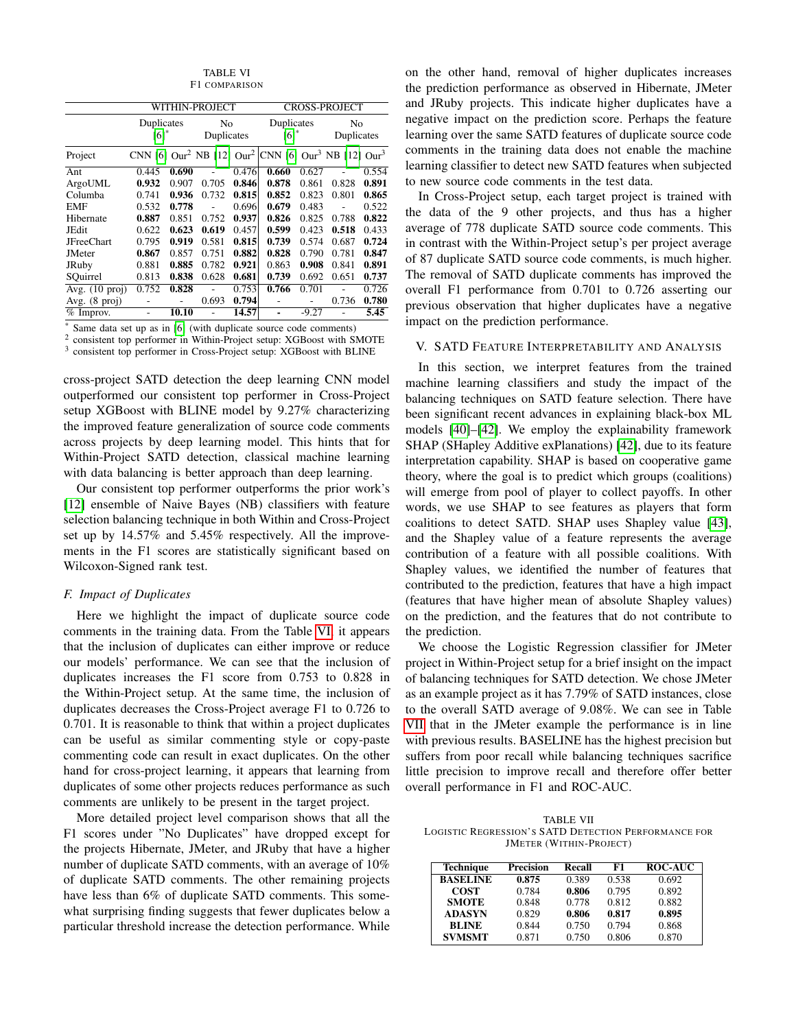TABLE VI F1 COMPARISON

<span id="page-7-1"></span>

|                          | WITHIN-PROJECT                                                                                      |       |                  |       | <b>CROSS-PROJECT</b> |         |                  |       |
|--------------------------|-----------------------------------------------------------------------------------------------------|-------|------------------|-------|----------------------|---------|------------------|-------|
|                          | Duplicates<br>[6]                                                                                   |       | No<br>Duplicates |       | Duplicates<br>[6]    |         | No<br>Duplicates |       |
| Project                  | CNN [6] Our <sup>2</sup> NB [12] Our <sup>2</sup> CNN [6] Our <sup>3</sup> NB [12] Our <sup>3</sup> |       |                  |       |                      |         |                  |       |
| Ant                      | 0.445                                                                                               | 0.690 |                  | 0.476 | 0.660                | 0.627   |                  | 0.554 |
| ArgoUML                  | 0.932                                                                                               | 0.907 | 0.705            | 0.846 | 0.878                | 0.861   | 0.828            | 0.891 |
| Columba                  | 0.741                                                                                               | 0.936 | 0.732            | 0.815 | 0.852                | 0.823   | 0.801            | 0.865 |
| EMF                      | 0.532                                                                                               | 0.778 |                  | 0.696 | 0.679                | 0.483   |                  | 0.522 |
| Hibernate                | 0.887                                                                                               | 0.851 | 0.752            | 0.937 | 0.826                | 0.825   | 0.788            | 0.822 |
| JEdit                    | 0.622                                                                                               | 0.623 | 0.619            | 0.457 | 0.599                | 0.423   | 0.518            | 0.433 |
| <b>JFreeChart</b>        | 0.795                                                                                               | 0.919 | 0.581            | 0.815 | 0.739                | 0.574   | 0.687            | 0.724 |
| <b>JMeter</b>            | 0.867                                                                                               | 0.857 | 0.751            | 0.882 | 0.828                | 0.790   | 0.781            | 0.847 |
| JRuby                    | 0.881                                                                                               | 0.885 | 0.782            | 0.921 | 0.863                | 0.908   | 0.841            | 0.891 |
| SQuirrel                 | 0.813                                                                                               | 0.838 | 0.628            | 0.681 | 0.739                | 0.692   | 0.651            | 0.737 |
| Avg. $(10 \text{ proj})$ | 0.752                                                                                               | 0.828 |                  | 0.753 | 0.766                | 0.701   |                  | 0.726 |
| Avg. $(8 \text{ proj})$  |                                                                                                     |       | 0.693            | 0.794 |                      |         | 0.736            | 0.780 |
| $%$ Improv.              |                                                                                                     | 10.10 |                  | 14.57 |                      | $-9.27$ |                  | 5.45  |

Same data set up as in [\[6\]](#page-10-1) (with duplicate source code comments)

<sup>2</sup> consistent top performer in Within-Project setup: XGBoost with SMOTE

<sup>3</sup> consistent top performer in Cross-Project setup: XGBoost with BLINE

cross-project SATD detection the deep learning CNN model outperformed our consistent top performer in Cross-Project setup XGBoost with BLINE model by 9.27% characterizing the improved feature generalization of source code comments across projects by deep learning model. This hints that for Within-Project SATD detection, classical machine learning with data balancing is better approach than deep learning.

Our consistent top performer outperforms the prior work's [\[12\]](#page-10-7) ensemble of Naive Bayes (NB) classifiers with feature selection balancing technique in both Within and Cross-Project set up by 14.57% and 5.45% respectively. All the improvements in the F1 scores are statistically significant based on Wilcoxon-Signed rank test.

# *F. Impact of Duplicates*

Here we highlight the impact of duplicate source code comments in the training data. From the Table [VI,](#page-7-1) it appears that the inclusion of duplicates can either improve or reduce our models' performance. We can see that the inclusion of duplicates increases the F1 score from 0.753 to 0.828 in the Within-Project setup. At the same time, the inclusion of duplicates decreases the Cross-Project average F1 to 0.726 to 0.701. It is reasonable to think that within a project duplicates can be useful as similar commenting style or copy-paste commenting code can result in exact duplicates. On the other hand for cross-project learning, it appears that learning from duplicates of some other projects reduces performance as such comments are unlikely to be present in the target project.

More detailed project level comparison shows that all the F1 scores under "No Duplicates" have dropped except for the projects Hibernate, JMeter, and JRuby that have a higher number of duplicate SATD comments, with an average of 10% of duplicate SATD comments. The other remaining projects have less than 6% of duplicate SATD comments. This somewhat surprising finding suggests that fewer duplicates below a particular threshold increase the detection performance. While on the other hand, removal of higher duplicates increases the prediction performance as observed in Hibernate, JMeter and JRuby projects. This indicate higher duplicates have a negative impact on the prediction score. Perhaps the feature learning over the same SATD features of duplicate source code comments in the training data does not enable the machine learning classifier to detect new SATD features when subjected to new source code comments in the test data.

In Cross-Project setup, each target project is trained with the data of the 9 other projects, and thus has a higher average of 778 duplicate SATD source code comments. This in contrast with the Within-Project setup's per project average of 87 duplicate SATD source code comments, is much higher. The removal of SATD duplicate comments has improved the overall F1 performance from 0.701 to 0.726 asserting our previous observation that higher duplicates have a negative impact on the prediction performance.

# <span id="page-7-0"></span>V. SATD FEATURE INTERPRETABILITY AND ANALYSIS

In this section, we interpret features from the trained machine learning classifiers and study the impact of the balancing techniques on SATD feature selection. There have been significant recent advances in explaining black-box ML models [\[40\]](#page-10-29)–[\[42\]](#page-10-30). We employ the explainability framework SHAP (SHapley Additive exPlanations) [\[42\]](#page-10-30), due to its feature interpretation capability. SHAP is based on cooperative game theory, where the goal is to predict which groups (coalitions) will emerge from pool of player to collect payoffs. In other words, we use SHAP to see features as players that form coalitions to detect SATD. SHAP uses Shapley value [\[43\]](#page-10-31), and the Shapley value of a feature represents the average contribution of a feature with all possible coalitions. With Shapley values, we identified the number of features that contributed to the prediction, features that have a high impact (features that have higher mean of absolute Shapley values) on the prediction, and the features that do not contribute to the prediction.

We choose the Logistic Regression classifier for JMeter project in Within-Project setup for a brief insight on the impact of balancing techniques for SATD detection. We chose JMeter as an example project as it has 7.79% of SATD instances, close to the overall SATD average of 9.08%. We can see in Table [VII](#page-7-2) that in the JMeter example the performance is in line with previous results. BASELINE has the highest precision but suffers from poor recall while balancing techniques sacrifice little precision to improve recall and therefore offer better overall performance in F1 and ROC-AUC.

<span id="page-7-2"></span>TABLE VII LOGISTIC REGRESSION'S SATD DETECTION PERFORMANCE FOR JMETER (WITHIN-PROJECT)

| <b>Technique</b> | <b>Precision</b> | <b>Recall</b> | F1    | <b>ROC-AUC</b> |
|------------------|------------------|---------------|-------|----------------|
| <b>BASELINE</b>  | 0.875            | 0.389         | 0.538 | 0.692          |
| <b>COST</b>      | 0.784            | 0.806         | 0.795 | 0.892          |
| <b>SMOTE</b>     | 0.848            | 0.778         | 0.812 | 0.882          |
| <b>ADASYN</b>    | 0.829            | 0.806         | 0.817 | 0.895          |
| <b>BLINE</b>     | 0.844            | 0.750         | 0.794 | 0.868          |
| <b>SVMSMT</b>    | 0.871            | 0.750         | 0.806 | 0.870          |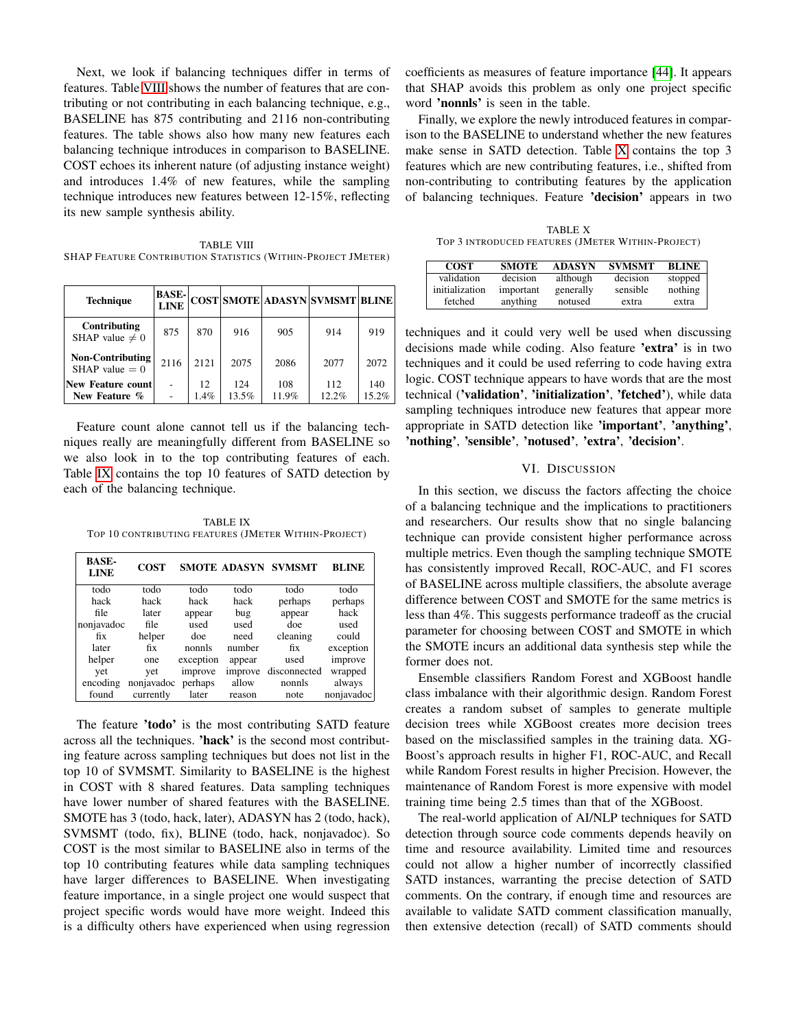Next, we look if balancing techniques differ in terms of features. Table [VIII](#page-8-1) shows the number of features that are contributing or not contributing in each balancing technique, e.g., BASELINE has 875 contributing and 2116 non-contributing features. The table shows also how many new features each balancing technique introduces in comparison to BASELINE. COST echoes its inherent nature (of adjusting instance weight) and introduces 1.4% of new features, while the sampling technique introduces new features between 12-15%, reflecting its new sample synthesis ability.

<span id="page-8-1"></span>TABLE VIII SHAP FEATURE CONTRIBUTION STATISTICS (WITHIN-PROJECT JMETER)

| <b>Technique</b>                            | <b>BASE-</b><br><b>LINE</b> |            |              |              | COST SMOTE ADASYN SVMSMT BLINE |              |
|---------------------------------------------|-----------------------------|------------|--------------|--------------|--------------------------------|--------------|
| Contributing<br>SHAP value $\neq 0$         | 875                         | 870        | 916          | 905          | 914                            | 919          |
| <b>Non-Contributing</b><br>SHAP value $= 0$ | 2116                        | 2121       | 2075         | 2086         | 2077                           | 2072         |
| <b>New Feature count</b><br>New Feature %   |                             | 12<br>1.4% | 124<br>13.5% | 108<br>11.9% | 112<br>12.2%                   | 140<br>15.2% |

Feature count alone cannot tell us if the balancing techniques really are meaningfully different from BASELINE so we also look in to the top contributing features of each. Table [IX](#page-8-2) contains the top 10 features of SATD detection by each of the balancing technique.

<span id="page-8-2"></span>TABLE IX TOP 10 CONTRIBUTING FEATURES (JMETER WITHIN-PROJECT)

| <b>BASE-</b><br><b>LINE</b> | <b>COST</b> |           |         | <b>SMOTE ADASYN SVMSMT</b> | <b>BLINE</b> |
|-----------------------------|-------------|-----------|---------|----------------------------|--------------|
| todo                        | todo        | todo      | todo    | todo                       | todo         |
| hack                        | hack        | hack      | hack    | perhaps                    | perhaps      |
| file                        | later       | appear    | bug     | appear                     | hack         |
| nonjavadoc                  | file        | used      | used    | doe                        | used         |
| fix                         | helper      | doe       | need    | cleaning                   | could        |
| later                       | fix         | nonnls    | number  | fix                        | exception    |
| helper                      | one         | exception | appear  | used                       | improve      |
| yet                         | vet         | improve   | improve | disconnected               | wrapped      |
| encoding                    | nonjavadoc  | perhaps   | allow   | nonnls                     | always       |
| found                       | currently   | later     | reason  | note                       | nonjavadoc   |

The feature 'todo' is the most contributing SATD feature across all the techniques. 'hack' is the second most contributing feature across sampling techniques but does not list in the top 10 of SVMSMT. Similarity to BASELINE is the highest in COST with 8 shared features. Data sampling techniques have lower number of shared features with the BASELINE. SMOTE has 3 (todo, hack, later), ADASYN has 2 (todo, hack), SVMSMT (todo, fix), BLINE (todo, hack, nonjavadoc). So COST is the most similar to BASELINE also in terms of the top 10 contributing features while data sampling techniques have larger differences to BASELINE. When investigating feature importance, in a single project one would suspect that project specific words would have more weight. Indeed this is a difficulty others have experienced when using regression

coefficients as measures of feature importance [\[44\]](#page-10-32). It appears that SHAP avoids this problem as only one project specific word 'nonnls' is seen in the table.

Finally, we explore the newly introduced features in comparison to the BASELINE to understand whether the new features make sense in SATD detection. Table [X](#page-8-3) contains the top 3 features which are new contributing features, i.e., shifted from non-contributing to contributing features by the application of balancing techniques. Feature 'decision' appears in two

<span id="page-8-3"></span>TABLE X TOP 3 INTRODUCED FEATURES (JMETER WITHIN-PROJECT)

| <b>COST</b>    | <b>SMOTE</b> | <b>ADASYN</b> | <b>SVMSMT</b> | <b>BLINE</b> |
|----------------|--------------|---------------|---------------|--------------|
| validation     | decision     | although      | decision      | stopped      |
| initialization | important    | generally     | sensible      | nothing      |
| fetched        | anything     | notused       | extra         | extra        |

techniques and it could very well be used when discussing decisions made while coding. Also feature 'extra' is in two techniques and it could be used referring to code having extra logic. COST technique appears to have words that are the most technical ('validation', 'initialization', 'fetched'), while data sampling techniques introduce new features that appear more appropriate in SATD detection like 'important', 'anything', 'nothing', 'sensible', 'notused', 'extra', 'decision'.

## VI. DISCUSSION

<span id="page-8-0"></span>In this section, we discuss the factors affecting the choice of a balancing technique and the implications to practitioners and researchers. Our results show that no single balancing technique can provide consistent higher performance across multiple metrics. Even though the sampling technique SMOTE has consistently improved Recall, ROC-AUC, and F1 scores of BASELINE across multiple classifiers, the absolute average difference between COST and SMOTE for the same metrics is less than 4%. This suggests performance tradeoff as the crucial parameter for choosing between COST and SMOTE in which the SMOTE incurs an additional data synthesis step while the former does not.

Ensemble classifiers Random Forest and XGBoost handle class imbalance with their algorithmic design. Random Forest creates a random subset of samples to generate multiple decision trees while XGBoost creates more decision trees based on the misclassified samples in the training data. XG-Boost's approach results in higher F1, ROC-AUC, and Recall while Random Forest results in higher Precision. However, the maintenance of Random Forest is more expensive with model training time being 2.5 times than that of the XGBoost.

The real-world application of AI/NLP techniques for SATD detection through source code comments depends heavily on time and resource availability. Limited time and resources could not allow a higher number of incorrectly classified SATD instances, warranting the precise detection of SATD comments. On the contrary, if enough time and resources are available to validate SATD comment classification manually, then extensive detection (recall) of SATD comments should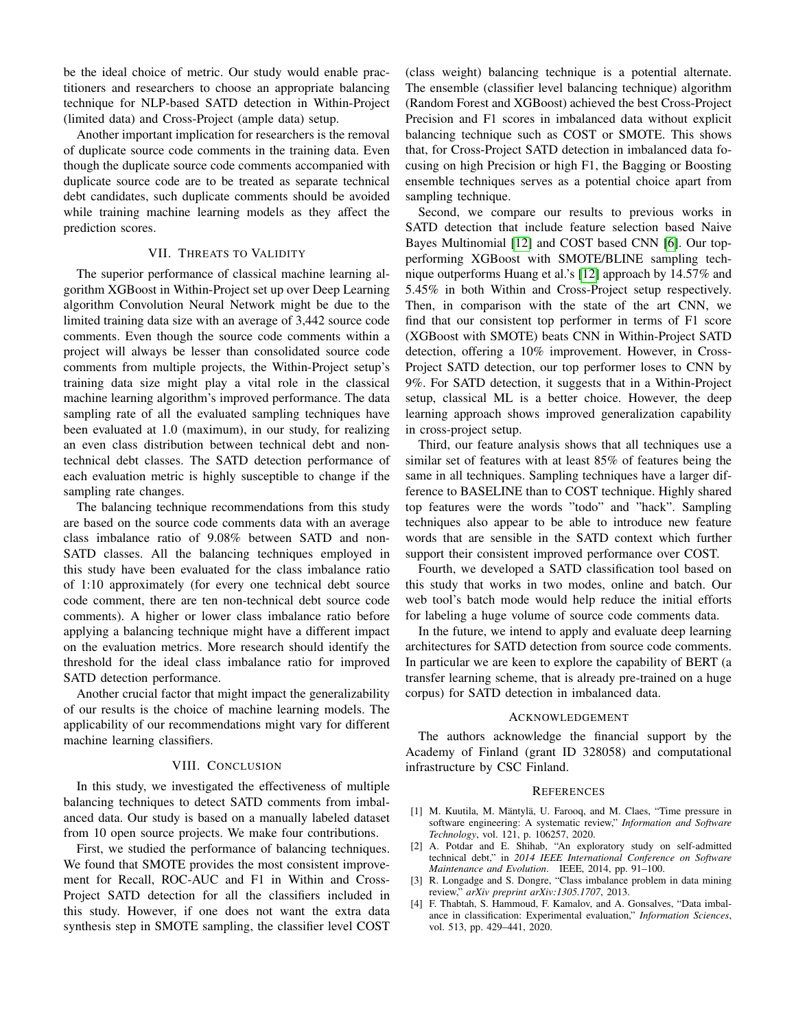be the ideal choice of metric. Our study would enable practitioners and researchers to choose an appropriate balancing technique for NLP-based SATD detection in Within-Project (limited data) and Cross-Project (ample data) setup.

Another important implication for researchers is the removal of duplicate source code comments in the training data. Even though the duplicate source code comments accompanied with duplicate source code are to be treated as separate technical debt candidates, such duplicate comments should be avoided while training machine learning models as they affect the prediction scores.

#### VII. THREATS TO VALIDITY

<span id="page-9-4"></span>The superior performance of classical machine learning algorithm XGBoost in Within-Project set up over Deep Learning algorithm Convolution Neural Network might be due to the limited training data size with an average of 3,442 source code comments. Even though the source code comments within a project will always be lesser than consolidated source code comments from multiple projects, the Within-Project setup's training data size might play a vital role in the classical machine learning algorithm's improved performance. The data sampling rate of all the evaluated sampling techniques have been evaluated at 1.0 (maximum), in our study, for realizing an even class distribution between technical debt and nontechnical debt classes. The SATD detection performance of each evaluation metric is highly susceptible to change if the sampling rate changes.

The balancing technique recommendations from this study are based on the source code comments data with an average class imbalance ratio of 9.08% between SATD and non-SATD classes. All the balancing techniques employed in this study have been evaluated for the class imbalance ratio of 1:10 approximately (for every one technical debt source code comment, there are ten non-technical debt source code comments). A higher or lower class imbalance ratio before applying a balancing technique might have a different impact on the evaluation metrics. More research should identify the threshold for the ideal class imbalance ratio for improved SATD detection performance.

Another crucial factor that might impact the generalizability of our results is the choice of machine learning models. The applicability of our recommendations might vary for different machine learning classifiers.

#### VIII. CONCLUSION

<span id="page-9-5"></span>In this study, we investigated the effectiveness of multiple balancing techniques to detect SATD comments from imbalanced data. Our study is based on a manually labeled dataset from 10 open source projects. We make four contributions.

First, we studied the performance of balancing techniques. We found that SMOTE provides the most consistent improvement for Recall, ROC-AUC and F1 in Within and Cross-Project SATD detection for all the classifiers included in this study. However, if one does not want the extra data synthesis step in SMOTE sampling, the classifier level COST (class weight) balancing technique is a potential alternate. The ensemble (classifier level balancing technique) algorithm (Random Forest and XGBoost) achieved the best Cross-Project Precision and F1 scores in imbalanced data without explicit balancing technique such as COST or SMOTE. This shows that, for Cross-Project SATD detection in imbalanced data focusing on high Precision or high F1, the Bagging or Boosting ensemble techniques serves as a potential choice apart from sampling technique.

Second, we compare our results to previous works in SATD detection that include feature selection based Naive Bayes Multinomial [\[12\]](#page-10-7) and COST based CNN [\[6\]](#page-10-1). Our topperforming XGBoost with SMOTE/BLINE sampling technique outperforms Huang et al.'s [\[12\]](#page-10-7) approach by 14.57% and 5.45% in both Within and Cross-Project setup respectively. Then, in comparison with the state of the art CNN, we find that our consistent top performer in terms of F1 score (XGBoost with SMOTE) beats CNN in Within-Project SATD detection, offering a 10% improvement. However, in Cross-Project SATD detection, our top performer loses to CNN by 9%. For SATD detection, it suggests that in a Within-Project setup, classical ML is a better choice. However, the deep learning approach shows improved generalization capability in cross-project setup.

Third, our feature analysis shows that all techniques use a similar set of features with at least 85% of features being the same in all techniques. Sampling techniques have a larger difference to BASELINE than to COST technique. Highly shared top features were the words "todo" and "hack". Sampling techniques also appear to be able to introduce new feature words that are sensible in the SATD context which further support their consistent improved performance over COST.

Fourth, we developed a SATD classification tool based on this study that works in two modes, online and batch. Our web tool's batch mode would help reduce the initial efforts for labeling a huge volume of source code comments data.

In the future, we intend to apply and evaluate deep learning architectures for SATD detection from source code comments. In particular we are keen to explore the capability of BERT (a transfer learning scheme, that is already pre-trained on a huge corpus) for SATD detection in imbalanced data.

#### ACKNOWLEDGEMENT

The authors acknowledge the financial support by the Academy of Finland (grant ID 328058) and computational infrastructure by CSC Finland.

## **REFERENCES**

- <span id="page-9-0"></span>[1] M. Kuutila, M. Mäntylä, U. Farooq, and M. Claes, "Time pressure in software engineering: A systematic review," *Information and Software Technology*, vol. 121, p. 106257, 2020.
- <span id="page-9-1"></span>[2] A. Potdar and E. Shihab, "An exploratory study on self-admitted technical debt," in *2014 IEEE International Conference on Software Maintenance and Evolution*. IEEE, 2014, pp. 91–100.
- <span id="page-9-2"></span>[3] R. Longadge and S. Dongre, "Class imbalance problem in data mining review," *arXiv preprint arXiv:1305.1707*, 2013.
- <span id="page-9-3"></span>[4] F. Thabtah, S. Hammoud, F. Kamalov, and A. Gonsalves, "Data imbalance in classification: Experimental evaluation," *Information Sciences*, vol. 513, pp. 429–441, 2020.